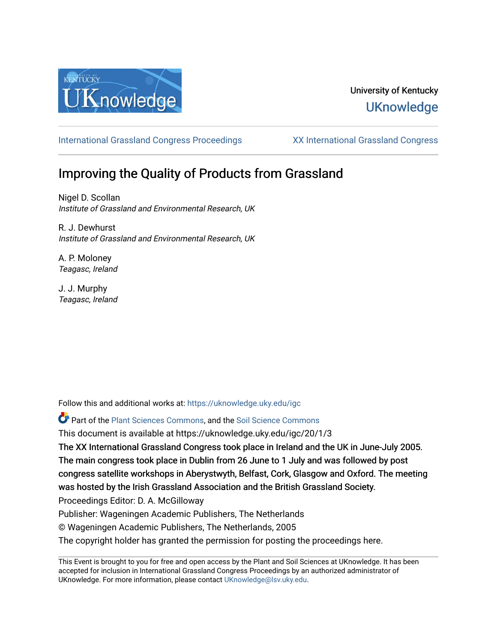

# University of Kentucky **UKnowledge**

[International Grassland Congress Proceedings](https://uknowledge.uky.edu/igc) [XX International Grassland Congress](https://uknowledge.uky.edu/igc/20) 

# Improving the Quality of Products from Grassland

Nigel D. Scollan Institute of Grassland and Environmental Research, UK

R. J. Dewhurst Institute of Grassland and Environmental Research, UK

A. P. Moloney Teagasc, Ireland

J. J. Murphy Teagasc, Ireland

Follow this and additional works at: [https://uknowledge.uky.edu/igc](https://uknowledge.uky.edu/igc?utm_source=uknowledge.uky.edu%2Figc%2F20%2F1%2F3&utm_medium=PDF&utm_campaign=PDFCoverPages) 

Part of the [Plant Sciences Commons](http://network.bepress.com/hgg/discipline/102?utm_source=uknowledge.uky.edu%2Figc%2F20%2F1%2F3&utm_medium=PDF&utm_campaign=PDFCoverPages), and the [Soil Science Commons](http://network.bepress.com/hgg/discipline/163?utm_source=uknowledge.uky.edu%2Figc%2F20%2F1%2F3&utm_medium=PDF&utm_campaign=PDFCoverPages)  This document is available at https://uknowledge.uky.edu/igc/20/1/3

The XX International Grassland Congress took place in Ireland and the UK in June-July 2005. The main congress took place in Dublin from 26 June to 1 July and was followed by post congress satellite workshops in Aberystwyth, Belfast, Cork, Glasgow and Oxford. The meeting was hosted by the Irish Grassland Association and the British Grassland Society.

Proceedings Editor: D. A. McGilloway

Publisher: Wageningen Academic Publishers, The Netherlands

© Wageningen Academic Publishers, The Netherlands, 2005

The copyright holder has granted the permission for posting the proceedings here.

This Event is brought to you for free and open access by the Plant and Soil Sciences at UKnowledge. It has been accepted for inclusion in International Grassland Congress Proceedings by an authorized administrator of UKnowledge. For more information, please contact [UKnowledge@lsv.uky.edu](mailto:UKnowledge@lsv.uky.edu).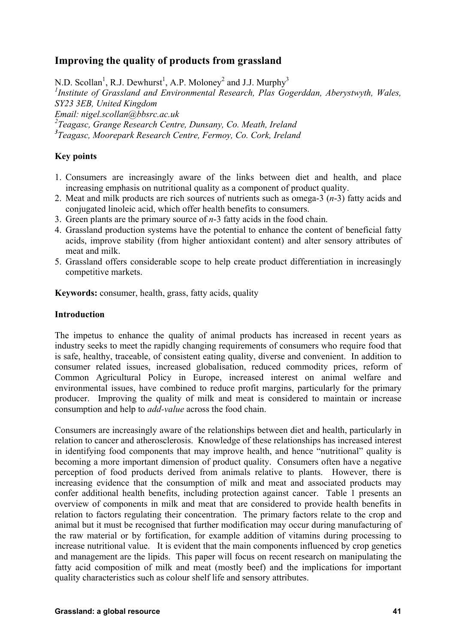## **Improving the quality of products from grassland**

N.D. Scollan<sup>1</sup>, R.J. Dewhurst<sup>1</sup>, A.P. Moloney<sup>2</sup> and J.J. Murphy<sup>3</sup> <sup>1</sup> Institute of Grassland and Environmental Research, Plas Gogerddan, Aberystwyth, Wales, *SY23 3EB, United Kingdom Email: nigel.scollan@bbsrc.ac.uk 2 Teagasc, Grange Research Centre, Dunsany, Co. Meath, Ireland <sup>3</sup> Teagasc, Moorepark Research Centre, Fermoy, Co. Cork, Ireland* 

## **Key points**

- 1. Consumers are increasingly aware of the links between diet and health, and place increasing emphasis on nutritional quality as a component of product quality.
- 2. Meat and milk products are rich sources of nutrients such as omega-3 (*n*-3) fatty acids and conjugated linoleic acid, which offer health benefits to consumers.
- 3. Green plants are the primary source of *n*-3 fatty acids in the food chain.
- 4. Grassland production systems have the potential to enhance the content of beneficial fatty acids, improve stability (from higher antioxidant content) and alter sensory attributes of meat and milk.
- 5. Grassland offers considerable scope to help create product differentiation in increasingly competitive markets.

**Keywords:** consumer, health, grass, fatty acids, quality

### **Introduction**

The impetus to enhance the quality of animal products has increased in recent years as industry seeks to meet the rapidly changing requirements of consumers who require food that is safe, healthy, traceable, of consistent eating quality, diverse and convenient. In addition to consumer related issues, increased globalisation, reduced commodity prices, reform of Common Agricultural Policy in Europe, increased interest on animal welfare and environmental issues, have combined to reduce profit margins, particularly for the primary producer. Improving the quality of milk and meat is considered to maintain or increase consumption and help to *add-value* across the food chain.

Consumers are increasingly aware of the relationships between diet and health, particularly in relation to cancer and atherosclerosis. Knowledge of these relationships has increased interest in identifying food components that may improve health, and hence "nutritional" quality is becoming a more important dimension of product quality. Consumers often have a negative perception of food products derived from animals relative to plants. However, there is increasing evidence that the consumption of milk and meat and associated products may confer additional health benefits, including protection against cancer. Table 1 presents an overview of components in milk and meat that are considered to provide health benefits in relation to factors regulating their concentration. The primary factors relate to the crop and animal but it must be recognised that further modification may occur during manufacturing of the raw material or by fortification, for example addition of vitamins during processing to increase nutritional value. It is evident that the main components influenced by crop genetics and management are the lipids. This paper will focus on recent research on manipulating the fatty acid composition of milk and meat (mostly beef) and the implications for important quality characteristics such as colour shelf life and sensory attributes.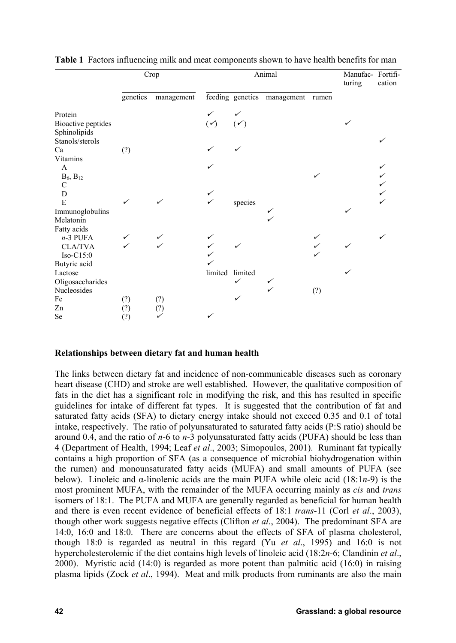|                           | Crop     |            | Animal         |              |                             |       | Manufac- Fortifi-<br>turing | cation |
|---------------------------|----------|------------|----------------|--------------|-----------------------------|-------|-----------------------------|--------|
|                           | genetics | management |                |              | feeding genetics management | rumen |                             |        |
| Protein                   |          |            |                |              |                             |       |                             |        |
| Bioactive peptides        |          |            | $(\checkmark)$ | $\sqrt{ }$   |                             |       |                             |        |
| Sphinolipids              |          |            |                |              |                             |       |                             |        |
| Stanols/sterols           |          |            |                |              |                             |       |                             |        |
| Ca<br><b>Vitamins</b>     | (?)      |            |                |              |                             |       |                             |        |
| A                         |          |            |                |              |                             |       |                             |        |
| $B_6, B_{12}$             |          |            |                |              |                             |       |                             |        |
| $\mathcal{C}$             |          |            |                |              |                             |       |                             |        |
| D                         |          |            |                |              |                             |       |                             |        |
| E                         |          |            |                | species      |                             |       |                             |        |
| Immunoglobulins           |          |            |                |              |                             |       |                             |        |
| Melatonin                 |          |            |                |              |                             |       |                             |        |
| Fatty acids<br>$n-3$ PUFA |          |            |                |              |                             | ✓     |                             | ✓      |
| <b>CLA/TVA</b>            |          | ✓          |                |              |                             |       | ✓                           |        |
| $Iso-C15:0$               |          |            |                |              |                             |       |                             |        |
| Butyric acid              |          |            |                |              |                             |       |                             |        |
| Lactose                   |          |            | limited        | limited      |                             |       |                             |        |
| Oligosaccharides          |          |            |                | $\checkmark$ | ✓                           |       |                             |        |
| Nucleosides               |          |            |                |              |                             | (?)   |                             |        |
| Fe                        | (?)      | (?)        |                |              |                             |       |                             |        |
| Zn                        | (?)      | (?)<br>✓   |                |              |                             |       |                             |        |
| Se                        | (?)      |            |                |              |                             |       |                             |        |

|  |  |  |  |  | Table 1 Factors influencing milk and meat components shown to have health benefits for man |  |  |  |  |  |
|--|--|--|--|--|--------------------------------------------------------------------------------------------|--|--|--|--|--|
|--|--|--|--|--|--------------------------------------------------------------------------------------------|--|--|--|--|--|

#### **Relationships between dietary fat and human health**

The links between dietary fat and incidence of non-communicable diseases such as coronary heart disease (CHD) and stroke are well established. However, the qualitative composition of fats in the diet has a significant role in modifying the risk, and this has resulted in specific guidelines for intake of different fat types. It is suggested that the contribution of fat and saturated fatty acids (SFA) to dietary energy intake should not exceed 0.35 and 0.1 of total intake, respectively. The ratio of polyunsaturated to saturated fatty acids (P:S ratio) should be around 0.4, and the ratio of *n*-6 to *n*-3 polyunsaturated fatty acids (PUFA) should be less than 4 (Department of Health, 1994; Leaf *et al*., 2003; Simopoulos, 2001). Ruminant fat typically contains a high proportion of SFA (as a consequence of microbial biohydrogenation within the rumen) and monounsaturated fatty acids (MUFA) and small amounts of PUFA (see below). Linoleic and α-linolenic acids are the main PUFA while oleic acid (18:1*n*-9) is the most prominent MUFA, with the remainder of the MUFA occurring mainly as *cis* and *trans* isomers of 18:1. The PUFA and MUFA are generally regarded as beneficial for human health and there is even recent evidence of beneficial effects of 18:1 *trans*-11 (Corl *et al*., 2003), though other work suggests negative effects (Clifton *et al*., 2004). The predominant SFA are 14:0, 16:0 and 18:0. There are concerns about the effects of SFA of plasma cholesterol, though 18:0 is regarded as neutral in this regard (Yu *et al*., 1995) and 16:0 is not hypercholesterolemic if the diet contains high levels of linoleic acid (18:2*n*-6; Clandinin *et al*., 2000). Myristic acid (14:0) is regarded as more potent than palmitic acid (16:0) in raising plasma lipids (Zock *et al*., 1994). Meat and milk products from ruminants are also the main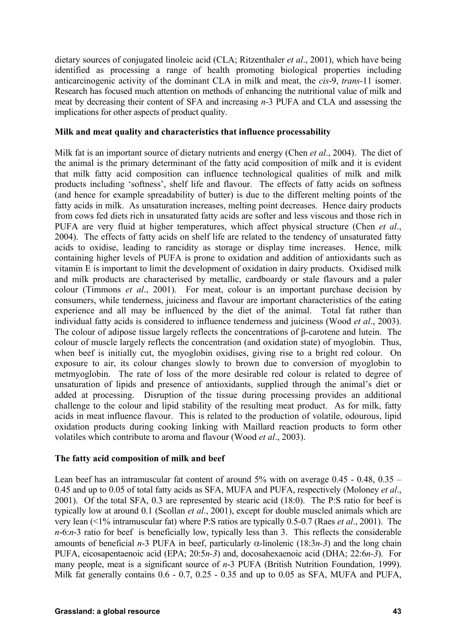dietary sources of conjugated linoleic acid (CLA; Ritzenthaler *et al*., 2001), which have being identified as processing a range of health promoting biological properties including anticarcinogenic activity of the dominant CLA in milk and meat, the *cis*-9, *trans*-11 isomer. Research has focused much attention on methods of enhancing the nutritional value of milk and meat by decreasing their content of SFA and increasing *n*-3 PUFA and CLA and assessing the implications for other aspects of product quality.

### **Milk and meat quality and characteristics that influence processability**

Milk fat is an important source of dietary nutrients and energy (Chen *et al*., 2004). The diet of the animal is the primary determinant of the fatty acid composition of milk and it is evident that milk fatty acid composition can influence technological qualities of milk and milk products including 'softness', shelf life and flavour. The effects of fatty acids on softness (and hence for example spreadability of butter) is due to the different melting points of the fatty acids in milk. As unsaturation increases, melting point decreases. Hence dairy products from cows fed diets rich in unsaturated fatty acids are softer and less viscous and those rich in PUFA are very fluid at higher temperatures, which affect physical structure (Chen *et al*., 2004). The effects of fatty acids on shelf life are related to the tendency of unsaturated fatty acids to oxidise, leading to rancidity as storage or display time increases. Hence, milk containing higher levels of PUFA is prone to oxidation and addition of antioxidants such as vitamin E is important to limit the development of oxidation in dairy products. Oxidised milk and milk products are characterised by metallic, cardboardy or stale flavours and a paler colour (Timmons *et al*., 2001). For meat, colour is an important purchase decision by consumers, while tenderness, juiciness and flavour are important characteristics of the eating experience and all may be influenced by the diet of the animal. Total fat rather than individual fatty acids is considered to influence tenderness and juiciness (Wood *et al*., 2003). The colour of adipose tissue largely reflects the concentrations of β-carotene and lutein. The colour of muscle largely reflects the concentration (and oxidation state) of myoglobin. Thus, when beef is initially cut, the myoglobin oxidises, giving rise to a bright red colour. On exposure to air, its colour changes slowly to brown due to conversion of myoglobin to metmyoglobin. The rate of loss of the more desirable red colour is related to degree of unsaturation of lipids and presence of antioxidants, supplied through the animal's diet or added at processing. Disruption of the tissue during processing provides an additional challenge to the colour and lipid stability of the resulting meat product. As for milk, fatty acids in meat influence flavour. This is related to the production of volatile, odourous, lipid oxidation products during cooking linking with Maillard reaction products to form other volatiles which contribute to aroma and flavour (Wood *et al*., 2003).

#### **The fatty acid composition of milk and beef**

Lean beef has an intramuscular fat content of around  $5\%$  with on average 0.45 - 0.48, 0.35 – 0.45 and up to 0.05 of total fatty acids as SFA, MUFA and PUFA, respectively (Moloney *et al*., 2001). Of the total SFA, 0.3 are represented by stearic acid (18:0). The P:S ratio for beef is typically low at around 0.1 (Scollan *et al*., 2001), except for double muscled animals which are very lean (<1% intramuscular fat) where P:S ratios are typically 0.5-0.7 (Raes *et al*., 2001). The *n*-6:*n*-3 ratio for beef is beneficially low, typically less than 3. This reflects the considerable amounts of beneficial  $n-3$  PUFA in beef, particularly  $\alpha$ -linolenic (18:3 $n-3$ ) and the long chain PUFA, eicosapentaenoic acid (EPA; 20:5*n-3*) and, docosahexaenoic acid (DHA; 22:6*n-3*). For many people, meat is a significant source of *n*-3 PUFA (British Nutrition Foundation, 1999). Milk fat generally contains  $0.6 - 0.7$ ,  $0.25 - 0.35$  and up to  $0.05$  as SFA, MUFA and PUFA,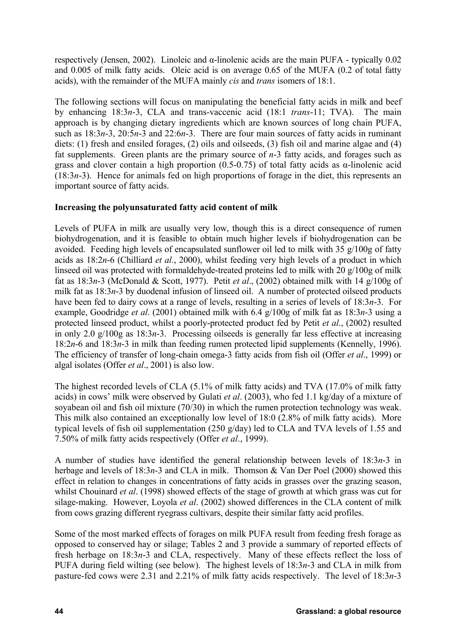respectively (Jensen, 2002). Linoleic and  $\alpha$ -linolenic acids are the main PUFA - typically 0.02 and 0.005 of milk fatty acids. Oleic acid is on average 0.65 of the MUFA (0.2 of total fatty acids), with the remainder of the MUFA mainly *cis* and *trans* isomers of 18:1.

The following sections will focus on manipulating the beneficial fatty acids in milk and beef by enhancing 18:3*n*-3, CLA and trans-vaccenic acid (18:1 *trans*-11; TVA). The main approach is by changing dietary ingredients which are known sources of long chain PUFA, such as 18:3*n*-3, 20:5*n*-3 and 22:6*n*-3. There are four main sources of fatty acids in ruminant diets: (1) fresh and ensiled forages, (2) oils and oilseeds, (3) fish oil and marine algae and (4) fat supplements. Green plants are the primary source of *n*-3 fatty acids, and forages such as grass and clover contain a high proportion  $(0.5-0.75)$  of total fatty acids as  $\alpha$ -linolenic acid (18:3*n*-3). Hence for animals fed on high proportions of forage in the diet, this represents an important source of fatty acids.

## **Increasing the polyunsaturated fatty acid content of milk**

Levels of PUFA in milk are usually very low, though this is a direct consequence of rumen biohydrogenation, and it is feasible to obtain much higher levels if biohydrogenation can be avoided. Feeding high levels of encapsulated sunflower oil led to milk with  $35 \frac{\text{g}}{100 \text{g}}$  of fatty acids as 18:2*n*-6 (Chilliard *et al*., 2000), whilst feeding very high levels of a product in which linseed oil was protected with formaldehyde-treated proteins led to milk with 20 g/100g of milk fat as 18:3*n*-3 (McDonald & Scott, 1977). Petit *et al*., (2002) obtained milk with 14 g/100g of milk fat as 18:3*n*-3 by duodenal infusion of linseed oil. A number of protected oilseed products have been fed to dairy cows at a range of levels, resulting in a series of levels of 18:3*n*-3. For example, Goodridge *et al*. (2001) obtained milk with 6.4 g/100g of milk fat as 18:3*n*-3 using a protected linseed product, whilst a poorly-protected product fed by Petit *et al*., (2002) resulted in only 2.0 g/100g as 18:3*n*-3. Processing oilseeds is generally far less effective at increasing 18:2*n*-6 and 18:3*n*-3 in milk than feeding rumen protected lipid supplements (Kennelly, 1996). The efficiency of transfer of long-chain omega-3 fatty acids from fish oil (Offer *et al*., 1999) or algal isolates (Offer *et al*., 2001) is also low.

The highest recorded levels of CLA (5.1% of milk fatty acids) and TVA (17.0% of milk fatty acids) in cows' milk were observed by Gulati *et al*. (2003), who fed 1.1 kg/day of a mixture of soyabean oil and fish oil mixture (70/30) in which the rumen protection technology was weak. This milk also contained an exceptionally low level of 18:0 (2.8% of milk fatty acids). More typical levels of fish oil supplementation (250  $g$ /day) led to CLA and TVA levels of 1.55 and 7.50% of milk fatty acids respectively (Offer *et al*., 1999).

A number of studies have identified the general relationship between levels of 18:3*n*-3 in herbage and levels of 18:3*n*-3 and CLA in milk. Thomson & Van Der Poel (2000) showed this effect in relation to changes in concentrations of fatty acids in grasses over the grazing season, whilst Chouinard *et al*. (1998) showed effects of the stage of growth at which grass was cut for silage-making. However, Loyola *et al*. (2002) showed differences in the CLA content of milk from cows grazing different ryegrass cultivars, despite their similar fatty acid profiles.

Some of the most marked effects of forages on milk PUFA result from feeding fresh forage as opposed to conserved hay or silage; Tables 2 and 3 provide a summary of reported effects of fresh herbage on 18:3*n*-3 and CLA, respectively. Many of these effects reflect the loss of PUFA during field wilting (see below). The highest levels of 18:3*n*-3 and CLA in milk from pasture-fed cows were 2.31 and 2.21% of milk fatty acids respectively. The level of 18:3*n*-3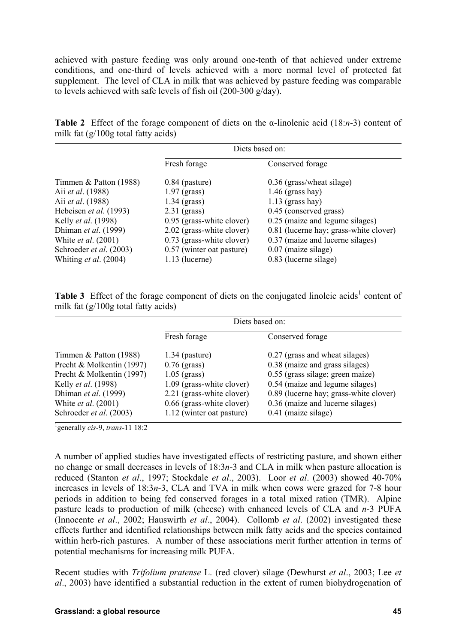achieved with pasture feeding was only around one-tenth of that achieved under extreme conditions, and one-third of levels achieved with a more normal level of protected fat supplement. The level of CLA in milk that was achieved by pasture feeding was comparable to levels achieved with safe levels of fish oil (200-300 g/day).

|                            | Diets based on:           |                                        |  |  |
|----------------------------|---------------------------|----------------------------------------|--|--|
|                            | Fresh forage              | Conserved forage                       |  |  |
| Timmen & Patton $(1988)$   | $0.84$ (pasture)          | 0.36 (grass/wheat silage)              |  |  |
| Aii et al. (1988)          | $1.97$ (grass)            | $1.46$ (grass hay)                     |  |  |
| Aii et al. (1988)          | $1.34$ (grass)            | $1.13$ (grass hay)                     |  |  |
| Hebeisen et al. (1993)     | $2.31$ (grass)            | 0.45 (conserved grass)                 |  |  |
| Kelly <i>et al.</i> (1998) | 0.95 (grass-white clover) | 0.25 (maize and legume silages)        |  |  |
| Dhiman et al. (1999)       | 2.02 (grass-white clover) | 0.81 (lucerne hay; grass-white clover) |  |  |
| White <i>et al.</i> (2001) | 0.73 (grass-white clover) | 0.37 (maize and lucerne silages)       |  |  |
| Schroeder et al. (2003)    | 0.57 (winter oat pasture) | $0.07$ (maize silage)                  |  |  |
| Whiting et al. (2004)      | $1.13$ (lucerne)          | 0.83 (lucerne silage)                  |  |  |

**Table 2** Effect of the forage component of diets on the α-linolenic acid (18:*n*-3) content of milk fat (g/100g total fatty acids)

**Table 3** Effect of the forage component of diets on the conjugated linoleic acids<sup>1</sup> content of milk fat (g/100g total fatty acids)

|                             | Diets based on:           |                                        |  |  |
|-----------------------------|---------------------------|----------------------------------------|--|--|
|                             | Fresh forage              | Conserved forage                       |  |  |
| Timmen & Patton $(1988)$    | $1.34$ (pasture)          | 0.27 (grass and wheat silages)         |  |  |
| Precht & Molkentin (1997)   | $0.76$ (grass)            | 0.38 (maize and grass silages)         |  |  |
| Precht & Molkentin (1997)   | $1.05$ (grass)            | 0.55 (grass silage; green maize)       |  |  |
| Kelly <i>et al.</i> (1998)  | 1.09 (grass-white clover) | 0.54 (maize and legume silages)        |  |  |
| Dhiman <i>et al.</i> (1999) | 2.21 (grass-white clover) | 0.89 (lucerne hay; grass-white clover) |  |  |
| White <i>et al.</i> (2001)  | 0.66 (grass-white clover) | 0.36 (maize and lucerne silages)       |  |  |
| Schroeder et al. (2003)     | 1.12 (winter oat pasture) | $0.41$ (maize silage)                  |  |  |

1 generally *cis*-9, *trans*-11 18:2

A number of applied studies have investigated effects of restricting pasture, and shown either no change or small decreases in levels of 18:3*n*-3 and CLA in milk when pasture allocation is reduced (Stanton *et al*., 1997; Stockdale *et al*., 2003). Loor *et al*. (2003) showed 40-70% increases in levels of 18:3*n*-3, CLA and TVA in milk when cows were grazed for 7-8 hour periods in addition to being fed conserved forages in a total mixed ration (TMR). Alpine pasture leads to production of milk (cheese) with enhanced levels of CLA and *n*-3 PUFA (Innocente *et al*., 2002; Hauswirth *et al*., 2004). Collomb *et al*. (2002) investigated these effects further and identified relationships between milk fatty acids and the species contained within herb-rich pastures. A number of these associations merit further attention in terms of potential mechanisms for increasing milk PUFA.

Recent studies with *Trifolium pratense* L. (red clover) silage (Dewhurst *et al*., 2003; Lee *et al*., 2003) have identified a substantial reduction in the extent of rumen biohydrogenation of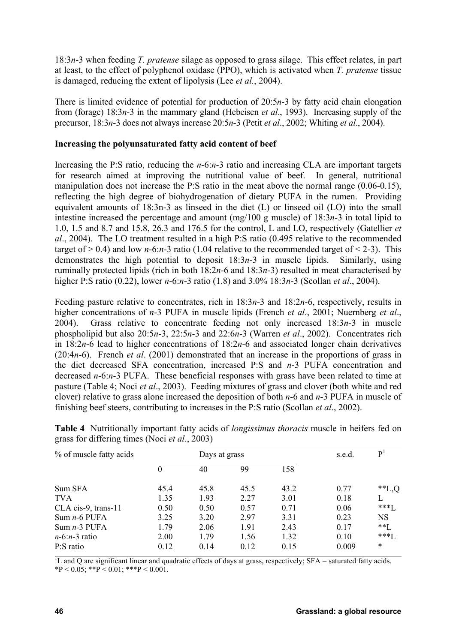18:3*n*-3 when feeding *T. pratense* silage as opposed to grass silage. This effect relates, in part at least, to the effect of polyphenol oxidase (PPO), which is activated when *T. pratense* tissue is damaged, reducing the extent of lipolysis (Lee *et al.*, 2004).

There is limited evidence of potential for production of 20:5*n*-3 by fatty acid chain elongation from (forage) 18:3*n*-3 in the mammary gland (Hebeisen *et al*., 1993). Increasing supply of the precursor, 18:3*n*-3 does not always increase 20:5*n*-3 (Petit *et al*., 2002; Whiting *et al*., 2004).

### **Increasing the polyunsaturated fatty acid content of beef**

Increasing the P:S ratio, reducing the *n*-6:*n*-3 ratio and increasing CLA are important targets for research aimed at improving the nutritional value of beef. In general, nutritional manipulation does not increase the P:S ratio in the meat above the normal range (0.06-0.15), reflecting the high degree of biohydrogenation of dietary PUFA in the rumen. Providing equivalent amounts of 18:3n-3 as linseed in the diet (L) or linseed oil (LO) into the small intestine increased the percentage and amount (mg/100 g muscle) of 18:3*n*-3 in total lipid to 1.0, 1.5 and 8.7 and 15.8, 26.3 and 176.5 for the control, L and LO, respectively (Gatellier *et al*., 2004). The LO treatment resulted in a high P:S ratio (0.495 relative to the recommended target of  $> 0.4$ ) and low *n*-6:*n*-3 ratio (1.04 relative to the recommended target of  $< 2$ -3). This demonstrates the high potential to deposit 18:3*n*-3 in muscle lipids. Similarly, using ruminally protected lipids (rich in both 18:2*n*-6 and 18:3*n*-3) resulted in meat characterised by higher P:S ratio (0.22), lower *n*-6:*n*-3 ratio (1.8) and 3.0% 18:3*n*-3 (Scollan *et al*., 2004).

Feeding pasture relative to concentrates, rich in 18:3*n*-3 and 18:2*n*-6, respectively, results in higher concentrations of *n*-3 PUFA in muscle lipids (French *et al*., 2001; Nuernberg *et al*., 2004). Grass relative to concentrate feeding not only increased 18:3*n*-3 in muscle phospholipid but also 20:5*n*-3, 22:5*n*-3 and 22:6*n*-3 (Warren *et al*., 2002). Concentrates rich in 18:2*n*-6 lead to higher concentrations of 18:2*n*-6 and associated longer chain derivatives (20:4*n*-6). French *et al*. (2001) demonstrated that an increase in the proportions of grass in the diet decreased SFA concentration, increased P:S and *n*-3 PUFA concentration and decreased *n*-6:*n*-3 PUFA. These beneficial responses with grass have been related to time at pasture (Table 4; Noci *et al*., 2003). Feeding mixtures of grass and clover (both white and red clover) relative to grass alone increased the deposition of both *n*-6 and *n*-3 PUFA in muscle of finishing beef steers, contributing to increases in the P:S ratio (Scollan *et al*., 2002).

| % of muscle fatty acids |      | Days at grass |      |      |       | P <sup>1</sup>     |
|-------------------------|------|---------------|------|------|-------|--------------------|
|                         | 0    | 40            | 99   | 158  |       |                    |
| Sum SFA                 | 45.4 | 45.8          | 45.5 | 43.2 | 0.77  | $*L,Q$             |
| <b>TVA</b>              | 1.35 | 1.93          | 2.27 | 3.01 | 0.18  |                    |
| CLA cis-9, trans-11     | 0.50 | 0.50          | 0.57 | 0.71 | 0.06  | $***$ <sup>[</sup> |
| Sum $n-6$ PUFA          | 3.25 | 3.20          | 2.97 | 3.31 | 0.23  | <b>NS</b>          |
| Sum $n-3$ PUFA          | 1.79 | 2.06          | 1.91 | 2.43 | 0.17  | $**L$              |
| $n-6$ : $n-3$ ratio     | 2.00 | 1.79          | 1.56 | 1.32 | 0.10  | $***$ <sup>1</sup> |
| P:S ratio               | 0.12 | 0.14          | 0.12 | 0.15 | 0.009 | $\ast$             |

**Table 4** Nutritionally important fatty acids of *longissimus thoracis* muscle in heifers fed on grass for differing times (Noci *et al*., 2003)

<sup>1</sup>L and Q are significant linear and quadratic effects of days at grass, respectively; SFA = saturated fatty acids.  $*P < 0.05$ ;  $*P < 0.01$ ;  $**P < 0.001$ .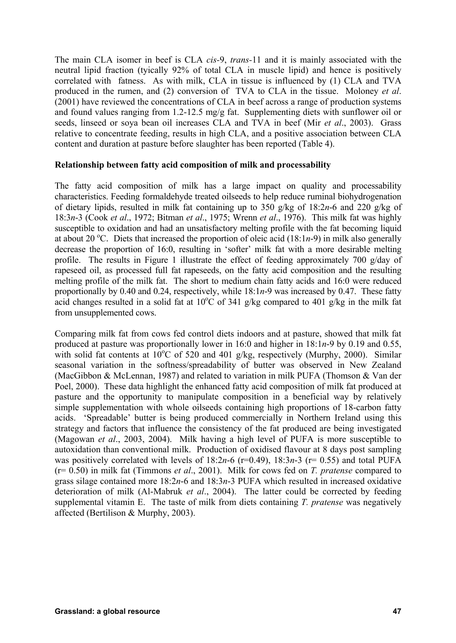The main CLA isomer in beef is CLA *cis-*9, *trans-*11 and it is mainly associated with the neutral lipid fraction (tyically 92% of total CLA in muscle lipid) and hence is positively correlated with fatness. As with milk, CLA in tissue is influenced by (1) CLA and TVA produced in the rumen, and (2) conversion of TVA to CLA in the tissue. Moloney *et al*. (2001) have reviewed the concentrations of CLA in beef across a range of production systems and found values ranging from 1.2-12.5 mg/g fat. Supplementing diets with sunflower oil or seeds, linseed or soya bean oil increases CLA and TVA in beef (Mir *et al*., 2003). Grass relative to concentrate feeding, results in high CLA, and a positive association between CLA content and duration at pasture before slaughter has been reported (Table 4).

#### **Relationship between fatty acid composition of milk and processability**

The fatty acid composition of milk has a large impact on quality and processability characteristics. Feeding formaldehyde treated oilseeds to help reduce ruminal biohydrogenation of dietary lipids, resulted in milk fat containing up to 350 g/kg of 18:2*n*-6 and 220 g/kg of 18:3*n*-3 (Cook *et al*., 1972; Bitman *et al*., 1975; Wrenn *et al*., 1976). This milk fat was highly susceptible to oxidation and had an unsatisfactory melting profile with the fat becoming liquid at about 20 °C. Diets that increased the proportion of oleic acid  $(18:1n-9)$  in milk also generally decrease the proportion of 16:0, resulting in 'softer' milk fat with a more desirable melting profile. The results in Figure 1 illustrate the effect of feeding approximately 700  $g/day$  of rapeseed oil, as processed full fat rapeseeds, on the fatty acid composition and the resulting melting profile of the milk fat. The short to medium chain fatty acids and 16:0 were reduced proportionally by 0.40 and 0.24, respectively, while 18:1*n*-9 was increased by 0.47. These fatty acid changes resulted in a solid fat at  $10^{\circ}$ C of 341 g/kg compared to 401 g/kg in the milk fat from unsupplemented cows.

Comparing milk fat from cows fed control diets indoors and at pasture, showed that milk fat produced at pasture was proportionally lower in 16:0 and higher in 18:1*n*-9 by 0.19 and 0.55, with solid fat contents at  $10^{\circ}$ C of 520 and 401 g/kg, respectively (Murphy, 2000). Similar seasonal variation in the softness/spreadability of butter was observed in New Zealand (MacGibbon & McLennan, 1987) and related to variation in milk PUFA (Thomson & Van der Poel, 2000). These data highlight the enhanced fatty acid composition of milk fat produced at pasture and the opportunity to manipulate composition in a beneficial way by relatively simple supplementation with whole oilseeds containing high proportions of 18-carbon fatty acids. 'Spreadable' butter is being produced commercially in Northern Ireland using this strategy and factors that influence the consistency of the fat produced are being investigated (Magowan *et al*., 2003, 2004). Milk having a high level of PUFA is more susceptible to autoxidation than conventional milk. Production of oxidised flavour at 8 days post sampling was positively correlated with levels of  $18:2n-6$  ( $r=0.49$ ),  $18:3n-3$  ( $r=0.55$ ) and total PUFA (r= 0.50) in milk fat (Timmons *et al*., 2001). Milk for cows fed on *T. pratense* compared to grass silage contained more 18:2*n*-6 and 18:3*n*-3 PUFA which resulted in increased oxidative deterioration of milk (Al-Mabruk *et al*., 2004). The latter could be corrected by feeding supplemental vitamin E. The taste of milk from diets containing *T. pratense* was negatively affected (Bertilison & Murphy, 2003).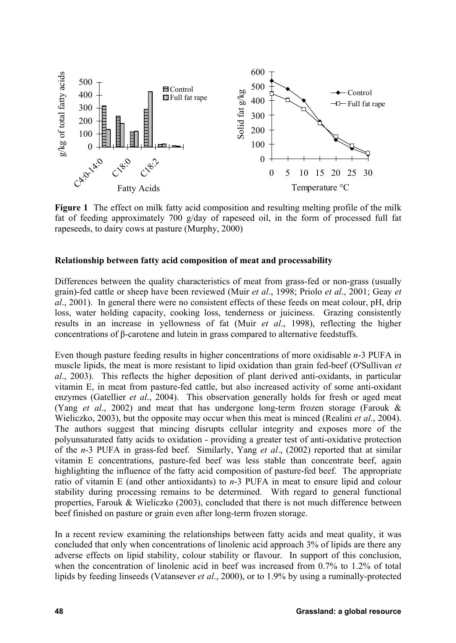

**Figure 1** The effect on milk fatty acid composition and resulting melting profile of the milk fat of feeding approximately 700 g/day of rapeseed oil, in the form of processed full fat rapeseeds, to dairy cows at pasture (Murphy, 2000)

#### **Relationship between fatty acid composition of meat and processability**

Differences between the quality characteristics of meat from grass-fed or non-grass (usually grain)-fed cattle or sheep have been reviewed (Muir *et al*., 1998; Priolo *et al*., 2001; Geay *et al*., 2001). In general there were no consistent effects of these feeds on meat colour, pH, drip loss, water holding capacity, cooking loss, tenderness or juiciness. Grazing consistently results in an increase in yellowness of fat (Muir *et al*., 1998), reflecting the higher concentrations of β-carotene and lutein in grass compared to alternative feedstuffs.

Even though pasture feeding results in higher concentrations of more oxidisable *n*-3 PUFA in muscle lipids, the meat is more resistant to lipid oxidation than grain fed-beef (O'Sullivan *et al*., 2003). This reflects the higher deposition of plant derived anti-oxidants, in particular vitamin E, in meat from pasture-fed cattle, but also increased activity of some anti-oxidant enzymes (Gatellier *et al*., 2004). This observation generally holds for fresh or aged meat (Yang *et al*., 2002) and meat that has undergone long-term frozen storage (Farouk & Wieliczko, 2003), but the opposite may occur when this meat is minced (Realini *et al*., 2004). The authors suggest that mincing disrupts cellular integrity and exposes more of the polyunsaturated fatty acids to oxidation - providing a greater test of anti-oxidative protection of the *n*-3 PUFA in grass-fed beef. Similarly, Yang *et al*., (2002) reported that at similar vitamin E concentrations, pasture-fed beef was less stable than concentrate beef, again highlighting the influence of the fatty acid composition of pasture-fed beef. The appropriate ratio of vitamin E (and other antioxidants) to *n*-3 PUFA in meat to ensure lipid and colour stability during processing remains to be determined. With regard to general functional properties, Farouk & Wieliczko (2003), concluded that there is not much difference between beef finished on pasture or grain even after long-term frozen storage.

In a recent review examining the relationships between fatty acids and meat quality, it was concluded that only when concentrations of linolenic acid approach 3% of lipids are there any adverse effects on lipid stability, colour stability or flavour. In support of this conclusion, when the concentration of linolenic acid in beef was increased from 0.7% to 1.2% of total lipids by feeding linseeds (Vatansever *et al*., 2000), or to 1.9% by using a ruminally-protected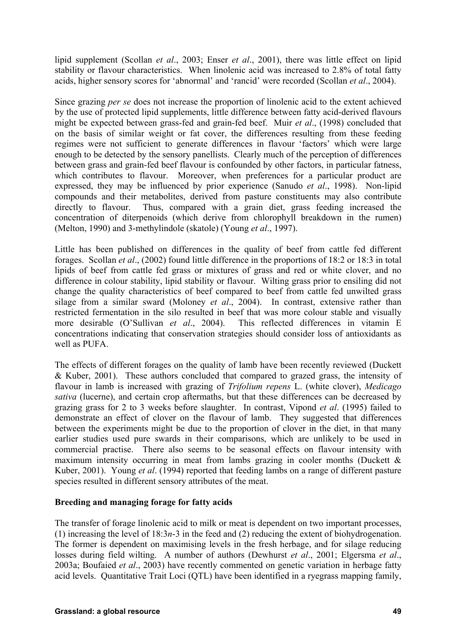lipid supplement (Scollan *et al*., 2003; Enser *et al*., 2001), there was little effect on lipid stability or flavour characteristics. When linolenic acid was increased to 2.8% of total fatty acids, higher sensory scores for 'abnormal' and 'rancid' were recorded (Scollan *et al*., 2004).

Since grazing *per se* does not increase the proportion of linolenic acid to the extent achieved by the use of protected lipid supplements, little difference between fatty acid-derived flavours might be expected between grass-fed and grain-fed beef. Muir *et al*., (1998) concluded that on the basis of similar weight or fat cover, the differences resulting from these feeding regimes were not sufficient to generate differences in flavour 'factors' which were large enough to be detected by the sensory panellists. Clearly much of the perception of differences between grass and grain-fed beef flavour is confounded by other factors, in particular fatness, which contributes to flavour. Moreover, when preferences for a particular product are expressed, they may be influenced by prior experience (Sanudo *et al*., 1998). Non-lipid compounds and their metabolites, derived from pasture constituents may also contribute directly to flavour. Thus, compared with a grain diet, grass feeding increased the concentration of diterpenoids (which derive from chlorophyll breakdown in the rumen) (Melton, 1990) and 3-methylindole (skatole) (Young *et al*., 1997).

Little has been published on differences in the quality of beef from cattle fed different forages. Scollan *et al*., (2002) found little difference in the proportions of 18:2 or 18:3 in total lipids of beef from cattle fed grass or mixtures of grass and red or white clover, and no difference in colour stability, lipid stability or flavour. Wilting grass prior to ensiling did not change the quality characteristics of beef compared to beef from cattle fed unwilted grass silage from a similar sward (Moloney *et al*., 2004). In contrast, extensive rather than restricted fermentation in the silo resulted in beef that was more colour stable and visually more desirable (O'Sullivan *et al*., 2004). This reflected differences in vitamin E concentrations indicating that conservation strategies should consider loss of antioxidants as well as PUFA.

The effects of different forages on the quality of lamb have been recently reviewed (Duckett & Kuber, 2001). These authors concluded that compared to grazed grass, the intensity of flavour in lamb is increased with grazing of *Trifolium repens* L. (white clover), *Medicago sativa* (lucerne), and certain crop aftermaths, but that these differences can be decreased by grazing grass for 2 to 3 weeks before slaughter. In contrast, Vipond *et al*. (1995) failed to demonstrate an effect of clover on the flavour of lamb. They suggested that differences between the experiments might be due to the proportion of clover in the diet, in that many earlier studies used pure swards in their comparisons, which are unlikely to be used in commercial practise. There also seems to be seasonal effects on flavour intensity with maximum intensity occurring in meat from lambs grazing in cooler months (Duckett  $\&$ Kuber, 2001). Young *et al*. (1994) reported that feeding lambs on a range of different pasture species resulted in different sensory attributes of the meat.

#### **Breeding and managing forage for fatty acids**

The transfer of forage linolenic acid to milk or meat is dependent on two important processes, (1) increasing the level of 18:3*n*-3 in the feed and (2) reducing the extent of biohydrogenation. The former is dependent on maximising levels in the fresh herbage, and for silage reducing losses during field wilting. A number of authors (Dewhurst *et al*., 2001; Elgersma *et al*., 2003a; Boufaied *et al*., 2003) have recently commented on genetic variation in herbage fatty acid levels. Quantitative Trait Loci (QTL) have been identified in a ryegrass mapping family,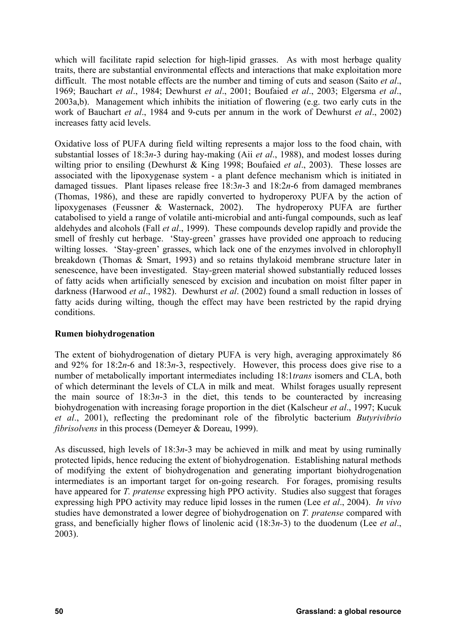which will facilitate rapid selection for high-lipid grasses. As with most herbage quality traits, there are substantial environmental effects and interactions that make exploitation more difficult. The most notable effects are the number and timing of cuts and season (Saito *et al*., 1969; Bauchart *et al*., 1984; Dewhurst *et al*., 2001; Boufaied *et al*., 2003; Elgersma *et al*., 2003a,b). Management which inhibits the initiation of flowering (e.g. two early cuts in the work of Bauchart *et al*., 1984 and 9-cuts per annum in the work of Dewhurst *et al*., 2002) increases fatty acid levels.

Oxidative loss of PUFA during field wilting represents a major loss to the food chain, with substantial losses of 18:3*n*-3 during hay-making (Aii *et al*., 1988), and modest losses during wilting prior to ensiling (Dewhurst & King 1998; Boufaied *et al*., 2003). These losses are associated with the lipoxygenase system - a plant defence mechanism which is initiated in damaged tissues. Plant lipases release free 18:3*n*-3 and 18:2*n*-6 from damaged membranes (Thomas, 1986), and these are rapidly converted to hydroperoxy PUFA by the action of lipoxygenases (Feussner & Wasternack, 2002). The hydroperoxy PUFA are further catabolised to yield a range of volatile anti-microbial and anti-fungal compounds, such as leaf aldehydes and alcohols (Fall *et al*., 1999). These compounds develop rapidly and provide the smell of freshly cut herbage. 'Stay-green' grasses have provided one approach to reducing wilting losses. 'Stay-green' grasses, which lack one of the enzymes involved in chlorophyll breakdown (Thomas & Smart, 1993) and so retains thylakoid membrane structure later in senescence, have been investigated. Stay-green material showed substantially reduced losses of fatty acids when artificially senesced by excision and incubation on moist filter paper in darkness (Harwood *et al*., 1982). Dewhurst *et al*. (2002) found a small reduction in losses of fatty acids during wilting, though the effect may have been restricted by the rapid drying conditions.

### **Rumen biohydrogenation**

The extent of biohydrogenation of dietary PUFA is very high, averaging approximately 86 and 92% for 18:2*n*-6 and 18:3*n*-3, respectively. However, this process does give rise to a number of metabolically important intermediates including 18:1*trans* isomers and CLA, both of which determinant the levels of CLA in milk and meat. Whilst forages usually represent the main source of  $18:3n-3$  in the diet, this tends to be counteracted by increasing biohydrogenation with increasing forage proportion in the diet (Kalscheur *et al*., 1997; Kucuk *et al*., 2001), reflecting the predominant role of the fibrolytic bacterium *Butyrivibrio fibrisolvens* in this process (Demeyer & Doreau, 1999).

As discussed, high levels of 18:3*n*-3 may be achieved in milk and meat by using ruminally protected lipids, hence reducing the extent of biohydrogenation. Establishing natural methods of modifying the extent of biohydrogenation and generating important biohydrogenation intermediates is an important target for on-going research. For forages, promising results have appeared for *T. pratense* expressing high PPO activity. Studies also suggest that forages expressing high PPO activity may reduce lipid losses in the rumen (Lee *et al*., 2004). *In vivo* studies have demonstrated a lower degree of biohydrogenation on *T. pratense* compared with grass, and beneficially higher flows of linolenic acid (18:3*n*-3) to the duodenum (Lee *et al*., 2003).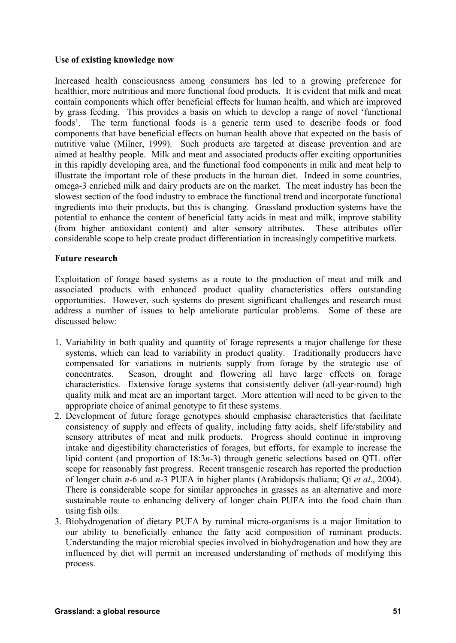#### **Use of existing knowledge now**

Increased health consciousness among consumers has led to a growing preference for healthier, more nutritious and more functional food products. It is evident that milk and meat contain components which offer beneficial effects for human health, and which are improved by grass feeding. This provides a basis on which to develop a range of novel 'functional foods'. The term functional foods is a generic term used to describe foods or food components that have beneficial effects on human health above that expected on the basis of nutritive value (Milner, 1999). Such products are targeted at disease prevention and are aimed at healthy people. Milk and meat and associated products offer exciting opportunities in this rapidly developing area, and the functional food components in milk and meat help to illustrate the important role of these products in the human diet. Indeed in some countries, omega-3 enriched milk and dairy products are on the market. The meat industry has been the slowest section of the food industry to embrace the functional trend and incorporate functional ingredients into their products, but this is changing. Grassland production systems have the potential to enhance the content of beneficial fatty acids in meat and milk, improve stability (from higher antioxidant content) and alter sensory attributes. These attributes offer considerable scope to help create product differentiation in increasingly competitive markets.

### **Future research**

Exploitation of forage based systems as a route to the production of meat and milk and associated products with enhanced product quality characteristics offers outstanding opportunities. However, such systems do present significant challenges and research must address a number of issues to help ameliorate particular problems. Some of these are discussed below:

- 1. Variability in both quality and quantity of forage represents a major challenge for these systems, which can lead to variability in product quality. Traditionally producers have compensated for variations in nutrients supply from forage by the strategic use of concentrates. Season, drought and flowering all have large effects on forage characteristics. Extensive forage systems that consistently deliver (all-year-round) high quality milk and meat are an important target. More attention will need to be given to the appropriate choice of animal genotype to fit these systems.
- 2. Development of future forage genotypes should emphasise characteristics that facilitate consistency of supply and effects of quality, including fatty acids, shelf life/stability and sensory attributes of meat and milk products. Progress should continue in improving intake and digestibility characteristics of forages, but efforts, for example to increase the lipid content (and proportion of 18:3*n*-3) through genetic selections based on QTL offer scope for reasonably fast progress. Recent transgenic research has reported the production of longer chain *n*-6 and *n*-3 PUFA in higher plants (Arabidopsis thaliana; Qi *et al*., 2004). There is considerable scope for similar approaches in grasses as an alternative and more sustainable route to enhancing delivery of longer chain PUFA into the food chain than using fish oils.
- 3. Biohydrogenation of dietary PUFA by ruminal micro-organisms is a major limitation to our ability to beneficially enhance the fatty acid composition of ruminant products. Understanding the major microbial species involved in biohydrogenation and how they are influenced by diet will permit an increased understanding of methods of modifying this process.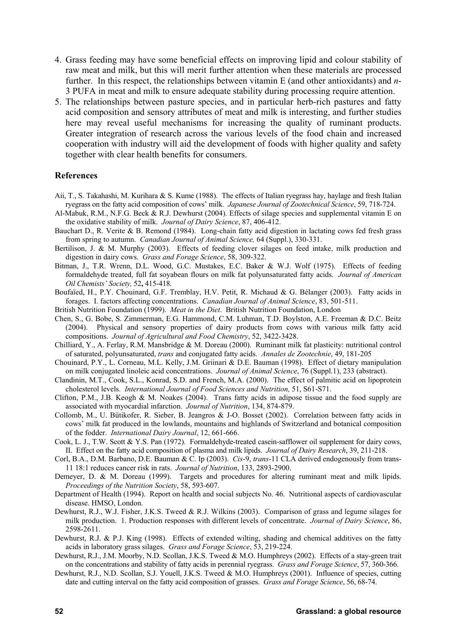- 4. Grass feeding may have some beneficial effects on improving lipid and colour stability of raw meat and milk, but this will merit further attention when these materials are processed further. In this respect, the relationships between vitamin E (and other antioxidants) and *n*-3 PUFA in meat and milk to ensure adequate stability during processing require attention.
- 5. The relationships between pasture species, and in particular herb-rich pastures and fatty acid composition and sensory attributes of meat and milk is interesting, and further studies here may reveal useful mechanisms for increasing the quality of ruminant products. Greater integration of research across the various levels of the food chain and increased cooperation with industry will aid the development of foods with higher quality and safety together with clear health benefits for consumers.

#### **References**

- Aii, T., S. Takahashi, M. Kurihara & S. Kume (1988). The effects of Italian ryegrass hay, haylage and fresh Italian ryegrass on the fatty acid composition of cows' milk*. Japanese Journal of Zootechnical Science*, 59, 718-724.
- Al-Mabuk, R.M., N.F.G. Beck & R.J. Dewhurst (2004). Effects of silage species and supplemental vitamin E on the oxidative stability of milk. *Journal of Dairy Science*, 87, 406-412.
- Bauchart D., R. Verite & B. Remond (1984). Long-chain fatty acid digestion in lactating cows fed fresh grass from spring to autumn. *Canadian Journal of Animal Science,* 64 (Suppl.), 330-331.
- Bertilison, J. & M. Murphy (2003). Effects of feeding clover silages on feed intake, milk production and digestion in dairy cows. *Grass and Forage Science*, 58, 309-322.
- Bitman, J., T.R. Wrenn, D.L. Wood, G.C. Mustakes, E.C. Baker & W.J. Wolf (1975). Effects of feeding formaldehyde treated, full fat soyabean flours on milk fat polyunsaturated fatty acids. *Journal of American Oil Chemists' Society,* 52**,** 415-418*.*
- Boufaïed, H., P.Y. Chouinard, G.F. Tremblay, H.V. Petit, R. Michaud & G. Bélanger (2003). Fatty acids in forages. I. factors affecting concentrations. *Canadian Journal of Animal Science*, 83, 501-511.
- British Nutrition Foundation (1999). *Meat in the Diet*. British Nutrition Foundation, London
- Chen, S., G. Bobe, S. Zimmerman, E.G. Hammond, C.M. Luhman, T.D. Boylston, A.E. Freeman & D.C. Beitz (2004). Physical and sensory properties of dairy products from cows with various milk fatty acid compositions. *Journal of Agricultural and Food Chemistry*, 52, 3422-3428.
- Chilliard, Y., A. Ferlay, R.M. Mansbridge & M. Doreau (2000). Ruminant milk fat plasticity: nutritional control of saturated, polyunsaturated, *trans* and conjugated fatty acids. *Annales de Zootechnie*, 49, 181-205
- Chouinard, P.Y., L. Corneau, M.L. Kelly, J.M. Griinari & D.E. Bauman (1998). Effect of dietary manipulation on milk conjugated linoleic acid concentrations. *Journal of Animal Science*, 76 (Suppl.1), 233 (abstract).
- Clandinin, M.T., Cook, S.L., Konrad, S.D. and French, M.A. (2000). The effect of palmitic acid on lipoprotein cholesterol levels. *International Journal of Food Sciences and Nutrition,* 51, S61-S71.
- Clifton, P.M., J.B. Keogh & M. Noakes (2004). Trans fatty acids in adipose tissue and the food supply are associated with myocardial infarction. *Journal of Nutrition*, 134, 874-879.
- Collomb, M., U. Bütikofer, R. Sieber, B. Jeangros & J-O. Bosset (2002). Correlation between fatty acids in cows' milk fat produced in the lowlands, mountains and highlands of Switzerland and botanical composition of the fodder. *International Dairy Journal*, 12, 661-666.
- Cook, L. J., T.W. Scott & Y.S. Pan (1972). Formaldehyde-treated casein-safflower oil supplement for dairy cows, II. Effect on the fatty acid composition of plasma and milk lipids. *Journal of Dairy Research*, 39, 211-218.
- Corl, B.A., D.M. Barbano, D.E. Bauman & C. Ip (2003). *Cis*-9, *trans*-11 CLA derived endogenously from trans-11 18:1 reduces cancer risk in rats. *Journal of Nutrition*, 133, 2893-2900.
- Demeyer, D. & M. Doreau (1999). Targets and procedures for altering ruminant meat and milk lipids. *Proceedings of the Nutrition Society*, 58, 593-607.
- Department of Health (1994). Report on health and social subjects No. 46. Nutritional aspects of cardiovascular disease. HMSO, London.
- Dewhurst, R.J., W.J. Fisher, J.K.S. Tweed & R.J. Wilkins (2003). Comparison of grass and legume silages for milk production. 1. Production responses with different levels of concentrate. *Journal of Dairy Science*, 86, 2598-2611.
- Dewhurst, R.J. & P.J. King (1998). Effects of extended wilting, shading and chemical additives on the fatty acids in laboratory grass silages. *Grass and Forage Science*, 53, 219-224.
- Dewhurst, R.J., J.M. Moorby, N.D. Scollan, J.K.S. Tweed & M.O. Humphreys (2002). Effects of a stay-green trait on the concentrations and stability of fatty acids in perennial ryegrass. *Grass and Forage Science*, 57, 360-366.
- Dewhurst, R.J., N.D. Scollan, S.J. Youell, J.K.S. Tweed & M.O. Humphreys (2001). Influence of species, cutting date and cutting interval on the fatty acid composition of grasses. *Grass and Forage Science*, 56, 68-74.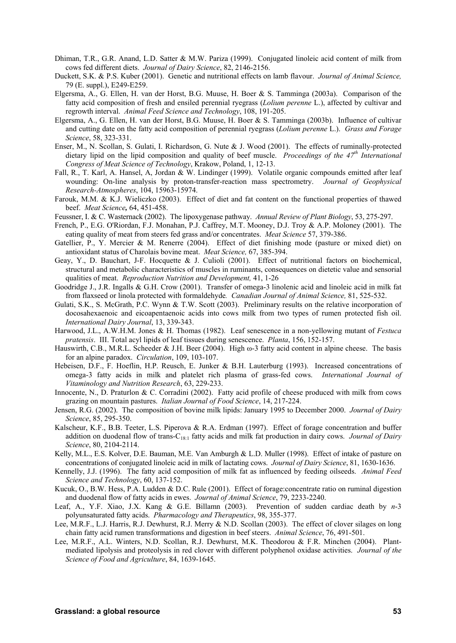- Dhiman, T.R., G.R. Anand, L.D. Satter & M.W. Pariza (1999). Conjugated linoleic acid content of milk from cows fed different diets. *Journal of Dairy Science*, 82, 2146-2156.
- Duckett, S.K. & P.S. Kuber (2001). Genetic and nutritional effects on lamb flavour. *Journal of Animal Science,* 79 (E. suppl.), E249-E259.
- Elgersma, A., G. Ellen, H. van der Horst, B.G. Muuse, H. Boer & S. Tamminga (2003a). Comparison of the fatty acid composition of fresh and ensiled perennial ryegrass (*Lolium perenne* L.), affected by cultivar and regrowth interval. *Animal Feed Science and Technology*, 108, 191-205.
- Elgersma, A., G. Ellen, H. van der Horst, B.G. Muuse, H. Boer & S. Tamminga (2003b). Influence of cultivar and cutting date on the fatty acid composition of perennial ryegrass (*Lolium perenne* L.). *Grass and Forage Science*, 58, 323-331.
- Enser, M., N. Scollan, S. Gulati, I. Richardson, G. Nute & J. Wood (2001). The effects of ruminally-protected dietary lipid on the lipid composition and quality of beef muscle. *Proceedings of the 47th International Congress of Meat Science of Technology*, Krakow, Poland, 1, 12-13.
- Fall, R., T. Karl, A. Hansel, A, Jordan & W. Lindinger (1999). Volatile organic compounds emitted after leaf wounding: On-line analysis by proton-transfer-reaction mass spectrometry. *Journal of Geophysical Research-Atmospheres*, 104, 15963-15974.
- Farouk, M.M. & K.J. Wieliczko (2003). Effect of diet and fat content on the functional properties of thawed beef. *Meat Science,* 64, 451-458.
- Feussner, I. & C. Wasternack (2002). The lipoxygenase pathway. *Annual Review of Plant Biology*, 53, 275-297.
- French, P., E.G. O'Riordan, F.J. Monahan, P.J. Caffrey, M.T. Mooney, D.J. Troy & A.P. Moloney (2001). The eating quality of meat from steers fed grass and/or concentrates. *Meat Science* 57, 379-386.
- Gatellier, P., Y. Mercier & M. Renerre (2004). Effect of diet finishing mode (pasture or mixed diet) on antioxidant status of Charolais bovine meat. *Meat Science,* 67, 385-394.
- Geay, Y., D. Bauchart, J-F. Hocquette & J. Culioli (2001). Effect of nutritional factors on biochemical, structural and metabolic characteristics of muscles in ruminants, consequences on dietetic value and sensorial qualities of meat. *Reproduction Nutrition and Development,* 41, 1-26
- Goodridge J., J.R. Ingalls & G.H. Crow (2001). Transfer of omega-3 linolenic acid and linoleic acid in milk fat from flaxseed or linola protected with formaldehyde*. Canadian Journal of Animal Science,* 81, 525-532.
- Gulati, S.K., S. McGrath, P.C. Wynn & T.W. Scott (2003). Preliminary results on the relative incorporation of docosahexaenoic and eicoapentaenoic acids into cows milk from two types of rumen protected fish oil. *International Dairy Journal*, 13, 339-343.
- Harwood, J.L., A.W.H.M. Jones & H. Thomas (1982). Leaf senescence in a non-yellowing mutant of *Festuca pratensis*. III. Total acyl lipids of leaf tissues during senescence. *Planta*, 156, 152-157.
- Hauswirth, C.B., M.R.L. Scheeder & J.H. Beer (2004). High ω-3 fatty acid content in alpine cheese. The basis for an alpine paradox. *Circulation*, 109, 103-107.
- Hebeisen, D.F., F. Hoeflin, H.P. Reusch, E. Junker & B.H. Lauterburg (1993). Increased concentrations of omega-3 fatty acids in milk and platelet rich plasma of grass-fed cows. *International Journal of Vitaminology and Nutrition Research*, 63, 229-233.
- Innocente, N., D. Praturlon & C. Corradini (2002). Fatty acid profile of cheese produced with milk from cows grazing on mountain pastures. *Italian Journal of Food Science*, 14, 217-224.
- Jensen, R.G. (2002). The composition of bovine milk lipids: January 1995 to December 2000. *Journal of Dairy Science*, 85, 295-350.
- Kalscheur, K.F., B.B. Teeter, L.S. Piperova & R.A. Erdman (1997). Effect of forage concentration and buffer addition on duodenal flow of trans-C18:1 fatty acids and milk fat production in dairy cows. *Journal of Dairy Science*, 80, 2104-2114.
- Kelly, M.L., E.S. Kolver, D.E. Bauman, M.E. Van Amburgh & L.D. Muller (1998). Effect of intake of pasture on concentrations of conjugated linoleic acid in milk of lactating cows. *Journal of Dairy Science*, 81, 1630-1636.
- Kennelly, J.J. (1996). The fatty acid composition of milk fat as influenced by feeding oilseeds. *Animal Feed Science and Technology*, 60, 137-152.
- Kucuk, O., B.W. Hess, P.A. Ludden & D.C. Rule (2001). Effect of forage:concentrate ratio on ruminal digestion and duodenal flow of fatty acids in ewes. *Journal of Animal Science*, 79, 2233-2240.
- Leaf, A., Y.F. Xiao, J.X. Kang & G.E. Billamn (2003). Prevention of sudden cardiac death by *n*-3 polyunsaturated fatty acids. *Pharmacology and Therapeutics*, 98, 355-377.
- Lee, M.R.F., L.J. Harris, R.J. Dewhurst, R.J. Merry & N.D. Scollan (2003). The effect of clover silages on long chain fatty acid rumen transformations and digestion in beef steers. *Animal Science*, 76, 491-501.
- Lee, M.R.F., A.L. Winters, N.D. Scollan, R.J. Dewhurst, M.K. Theodorou & F.R. Minchen (2004). Plantmediated lipolysis and proteolysis in red clover with different polyphenol oxidase activities. *Journal of the Science of Food and Agriculture*, 84, 1639-1645.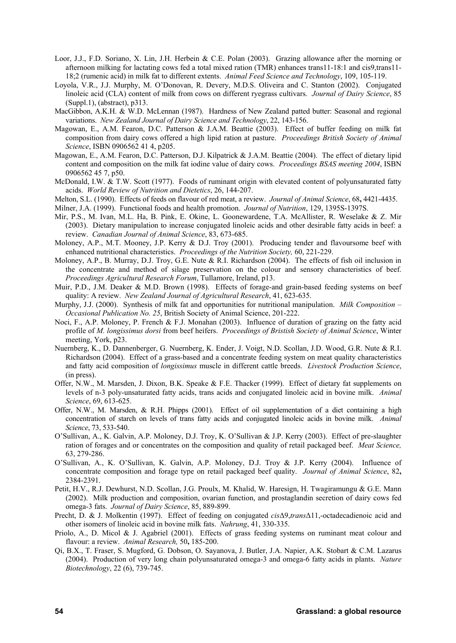- Loor, J.J., F.D. Soriano, X. Lin, J.H. Herbein & C.E. Polan (2003). Grazing allowance after the morning or afternoon milking for lactating cows fed a total mixed ration (TMR) enhances trans11-18:1 and cis9,trans11- 18;2 (rumenic acid) in milk fat to different extents. *Animal Feed Science and Technology*, 109, 105-119.
- Loyola, V.R., J.J. Murphy, M. O'Donovan, R. Devery, M.D.S. Oliveira and C. Stanton (2002). Conjugated linoleic acid (CLA) content of milk from cows on different ryegrass cultivars. *Journal of Dairy Science*, 85 (Suppl.1), (abstract), p313.
- MacGibbon, A.K.H. & W.D. McLennan (1987). Hardness of New Zealand patted butter: Seasonal and regional variations. *New Zealand Journal of Dairy Science and Technology*, 22, 143-156.
- Magowan, E., A.M. Fearon, D.C. Patterson & J.A.M. Beattie (2003). Effect of buffer feeding on milk fat composition from dairy cows offered a high lipid ration at pasture. *Proceedings British Society of Animal Science*, ISBN 0906562 41 4, p205.
- Magowan, E., A.M. Fearon, D.C. Patterson, D.J. Kilpatrick & J.A.M. Beattie (2004). The effect of dietary lipid content and composition on the milk fat iodine value of dairy cows. *Proceedings BSAS meeting 2004*, ISBN 0906562 45 7, p50.
- McDonald, I.W. & T.W. Scott (1977). Foods of ruminant origin with elevated content of polyunsaturated fatty acids. *World Review of Nutrition and Dietetics*, 26, 144-207.
- Melton, S.L. (1990). Effects of feeds on flavour of red meat, a review. *Journal of Animal Science*, 68**,** 4421-4435.
- Milner, J.A. (1999). Functional foods and health promotion. *Journal of Nutrition*, 129, 1395S-1397S.
- Mir, P.S., M. Ivan, M.L. Ha, B. Pink, E. Okine, L. Goonewardene, T.A. McAllister, R. Weselake & Z. Mir (2003). Dietary manipulation to increase conjugated linoleic acids and other desirable fatty acids in beef: a review. *Canadian Journal of Animal Science*, 83, 673-685.
- Moloney, A.P., M.T. Mooney, J.P. Kerry & D.J. Troy (2001). Producing tender and flavoursome beef with enhanced nutritional characteristics. *Proceedings of the Nutrition Society,* 60, 221-229.
- Moloney, A.P., B. Murray, D.J. Troy, G.E. Nute & R.I. Richardson (2004). The effects of fish oil inclusion in the concentrate and method of silage preservation on the colour and sensory characteristics of beef. *Proceedings Agricultural Research Forum*, Tullamore, Ireland, p13.
- Muir, P.D., J.M. Deaker & M.D. Brown (1998). Effects of forage-and grain-based feeding systems on beef quality: A review. *New Zealand Journal of Agricultural Research*, 41, 623-635.
- Murphy, J.J. (2000). Synthesis of milk fat and opportunities for nutritional manipulation. *Milk Composition Occasional Publication No. 25*, British Society of Animal Science, 201-222.
- Noci, F., A.P. Moloney, P. French & F.J. Monahan (2003). Influence of duration of grazing on the fatty acid profile of *M. longissimus dorsi* from beef heifers. *Proceedings of Bristish Society of Animal Science*, Winter meeting, York, p23.
- Nuernberg, K., D. Dannenberger, G. Nuernberg, K. Ender, J. Voigt, N.D. Scollan, J.D. Wood, G.R. Nute & R.I. Richardson (2004). Effect of a grass-based and a concentrate feeding system on meat quality characteristics and fatty acid composition of *longissimus* muscle in different cattle breeds. *Livestock Production Science*, (in press).
- Offer, N.W., M. Marsden, J. Dixon, B.K. Speake & F.E. Thacker (1999). Effect of dietary fat supplements on levels of n-3 poly-unsaturated fatty acids, trans acids and conjugated linoleic acid in bovine milk. *Animal Science*, 69, 613-625.
- Offer, N.W., M. Marsden, & R.H. Phipps (2001). Effect of oil supplementation of a diet containing a high concentration of starch on levels of trans fatty acids and conjugated linoleic acids in bovine milk. *Animal Science*, 73, 533-540.
- O'Sullivan, A., K. Galvin, A.P. Moloney, D.J. Troy, K. O'Sullivan & J.P. Kerry (2003). Effect of pre-slaughter ration of forages and or concentrates on the composition and quality of retail packaged beef. *Meat Science,* 63, 279-286.
- O'Sullivan, A., K. O'Sullivan, K. Galvin, A.P. Moloney, D.J. Troy & J.P. Kerry (2004). Influence of concentrate composition and forage type on retail packaged beef quality. *Journal of Animal Science*, 82**,** 2384-2391.
- Petit, H.V., R.J. Dewhurst, N.D. Scollan, J.G. Proulx, M. Khalid, W. Haresign, H. Twagiramungu & G.E. Mann (2002). Milk production and composition, ovarian function, and prostaglandin secretion of dairy cows fed omega-3 fats. *Journal of Dairy Science*, 85, 889-899.
- Precht, D. & J. Molkentin (1997). Effect of feeding on conjugated *cis*∆9,*trans*∆11,-octadecadienoic acid and other isomers of linoleic acid in bovine milk fats. *Nahrung*, 41, 330-335.
- Priolo, A., D. Micol & J. Agabriel (2001). Effects of grass feeding systems on ruminant meat colour and flavour: a review. *Animal Research,* 50**,** 185-200.
- Qi, B.X., T. Fraser, S. Mugford, G. Dobson, O. Sayanova, J. Butler, J.A. Napier, A.K. Stobart & C.M. Lazarus (2004). Production of very long chain polyunsaturated omega-3 and omega-6 fatty acids in plants. *Nature Biotechnology*, 22 (6), 739-745.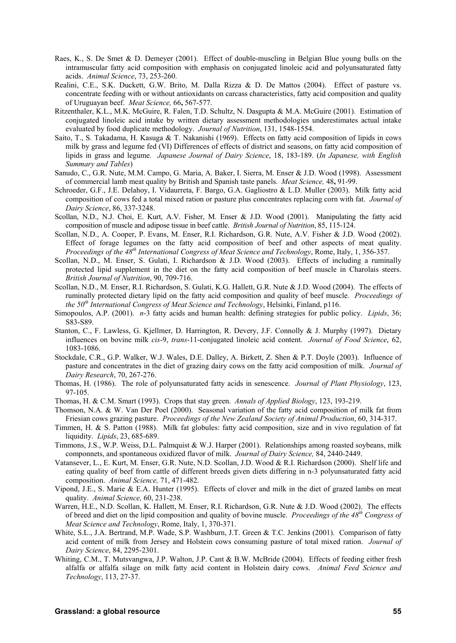- Raes, K., S. De Smet & D. Demeyer (2001). Effect of double-muscling in Belgian Blue young bulls on the intramuscular fatty acid composition with emphasis on conjugated linoleic acid and polyunsaturated fatty acids. *Animal Science*, 73, 253-260.
- Realini, C.E., S.K. Duckett, G.W. Brito, M. Dalla Rizza & D. De Mattos (2004). Effect of pasture vs. concentrate feeding with or without antioxidants on carcass characteristics, fatty acid composition and quality of Uruguayan beef. *Meat Science,* 66**,** 567-577.
- Ritzenthaler, K.L., M.K. McGuire, R. Falen, T.D. Schultz, N. Dasgupta & M.A. McGuire (2001). Estimation of conjugated linoleic acid intake by written dietary assessment methodologies underestimates actual intake evaluated by food duplicate methodology. *Journal of Nutrition*, 131, 1548-1554.
- Saito, T., S. Takadama, H. Kasuga & T. Nakanishi (1969). Effects on fatty acid composition of lipids in cows milk by grass and legume fed (VI) Differences of effects of district and seasons, on fatty acid composition of lipids in grass and legume*. Japanese Journal of Dairy Science*, 18, 183-189. (*In Japanese, with English Summary and Tables*)
- Sanudo, C., G.R. Nute, M.M. Campo, G. Maria, A. Baker, I. Sierra, M. Enser & J.D. Wood (1998). Assessment of commercial lamb meat quality by British and Spanish taste panels. *Meat Science,* 48**,** 91-99.
- Schroeder, G.F., J.E. Delahoy, I. Vidaurreta, F. Bargo, G.A. Gagliostro & L.D. Muller (2003). Milk fatty acid composition of cows fed a total mixed ration or pasture plus concentrates replacing corn with fat. *Journal of Dairy Science*, 86, 337-3248.
- Scollan, N.D., N.J. Choi, E. Kurt, A.V. Fisher, M. Enser & J.D. Wood (2001). Manipulating the fatty acid composition of muscle and adipose tissue in beef cattle. *British Journal of Nutrition*, 85, 115-124.
- Scollan, N.D., A. Cooper, P. Evans, M. Enser, R.I. Richardson, G.R. Nute, A.V. Fisher & J.D. Wood (2002). Effect of forage legumes on the fatty acid composition of beef and other aspects of meat quality. *Proceedings of the 48th International Congress of Meat Science and Technology*, Rome, Italy, 1, 356-357.
- Scollan, N.D., M. Enser, S. Gulati, I. Richardson & J.D. Wood (2003). Effects of including a ruminally protected lipid supplement in the diet on the fatty acid composition of beef muscle in Charolais steers. *British Journal of Nutrition*, 90, 709-716.
- Scollan, N.D., M. Enser, R.I. Richardson, S. Gulati, K.G. Hallett, G.R. Nute & J.D. Wood (2004). The effects of ruminally protected dietary lipid on the fatty acid composition and quality of beef muscle. *Proceedings of the 50th International Congress of Meat Science and Technology*, Helsinki, Finland, p116.
- Simopoulos, A.P. (2001). *n*-3 fatty acids and human health: defining strategies for public policy. *Lipids*, 36; S83-S89.
- Stanton, C., F. Lawless, G. Kjellmer, D. Harrington, R. Devery, J.F. Connolly & J. Murphy (1997). Dietary influences on bovine milk *cis*-9, *trans*-11-conjugated linoleic acid content. *Journal of Food Science*, 62, 1083-1086.
- Stockdale, C.R., G.P. Walker, W.J. Wales, D.E. Dalley, A. Birkett, Z. Shen & P.T. Doyle (2003). Influence of pasture and concentrates in the diet of grazing dairy cows on the fatty acid composition of milk. *Journal of Dairy Research*, 70, 267-276.
- Thomas, H. (1986). The role of polyunsaturated fatty acids in senescence. *Journal of Plant Physiology*, 123, 97-105.
- Thomas, H. & C.M. Smart (1993). Crops that stay green. *Annals of Applied Biology*, 123, 193-219.
- Thomson, N.A. & W. Van Der Poel (2000). Seasonal variation of the fatty acid composition of milk fat from Friesian cows grazing pasture. *Proceedings of the New Zealand Society of Animal Production*, 60, 314-317.
- Timmen, H. & S. Patton (1988). Milk fat globules: fatty acid composition, size and in vivo regulation of fat liquidity. *Lipids*, 23, 685-689.
- Timmons, J.S., W.P. Weiss, D.L. Palmquist & W.J. Harper (2001). Relationships among roasted soybeans, milk componnets, and spontaneous oxidized flavor of milk. *Journal of Dairy Science,* 84, 2440-2449.
- Vatansever, L., E. Kurt, M. Enser, G.R. Nute, N.D. Scollan, J.D. Wood & R.I. Richardson (2000). Shelf life and eating quality of beef from cattle of different breeds given diets differing in n-3 polyunsaturated fatty acid composition. *Animal Science,* 71, 471-482.
- Vipond, J.E., S. Marie & E.A. Hunter (1995). Effects of clover and milk in the diet of grazed lambs on meat quality. *Animal Science,* 60, 231-238.
- Warren, H.E., N.D. Scollan, K. Hallett, M. Enser, R.I. Richardson, G.R. Nute & J.D. Wood (2002). The effects of breed and diet on the lipid composition and quality of bovine muscle. *Proceedings of the 48th Congress of Meat Science and Technology*, Rome, Italy, 1, 370-371.
- White, S.L., J.A. Bertrand, M.P. Wade, S.P. Washburn, J.T. Green & T.C. Jenkins (2001). Comparison of fatty acid content of milk from Jersey and Holstein cows consuming pasture of total mixed ration. *Journal of Dairy Science*, 84, 2295-2301.
- Whiting, C.M., T. Mutsvangwa, J.P. Walton, J.P. Cant & B.W. McBride (2004). Effects of feeding either fresh alfalfa or alfalfa silage on milk fatty acid content in Holstein dairy cows. *Animal Feed Science and Technology*, 113, 27-37.